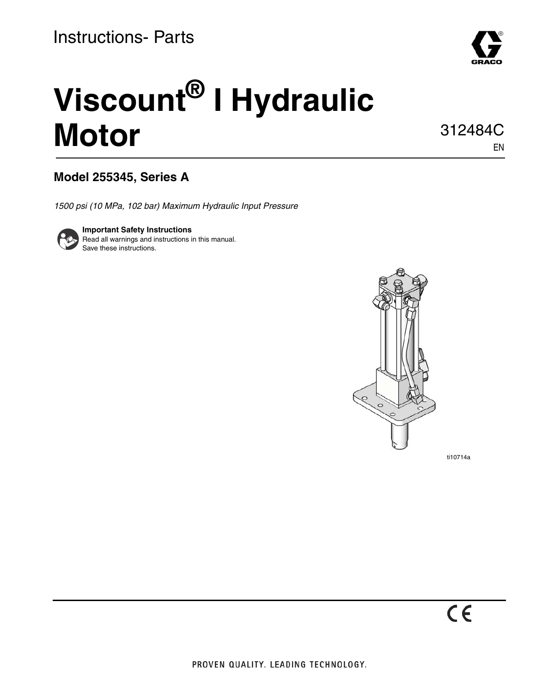

# **Viscount® I Hydraulic Motor**

312484C EN

### **Model 255345, Series A**

*1500 psi (10 MPa, 102 bar) Maximum Hydraulic Input Pressure*



**Important Safety Instructions** Read all warnings and instructions in this manual. Save these instructions.



ti10714a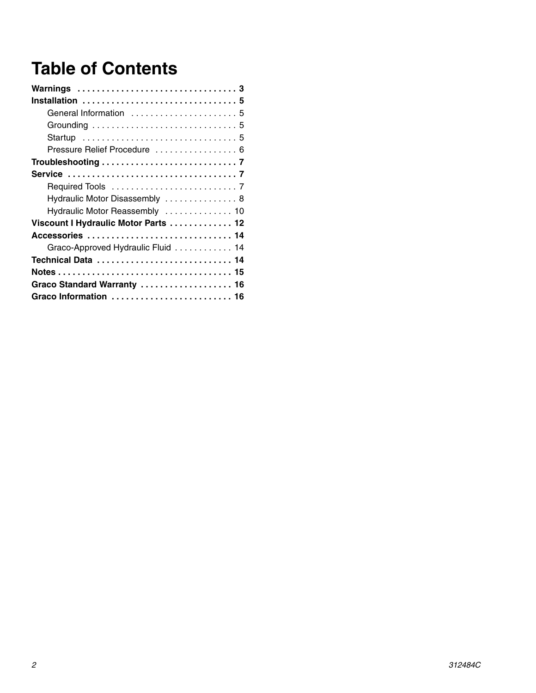# **Table of Contents**

| Warnings 3                           |
|--------------------------------------|
|                                      |
| General Information  5               |
|                                      |
|                                      |
| Pressure Relief Procedure  6         |
|                                      |
|                                      |
|                                      |
| Hydraulic Motor Disassembly  8       |
| Hydraulic Motor Reassembly  10       |
| Viscount I Hydraulic Motor Parts  12 |
| Accessories  14                      |
| Graco-Approved Hydraulic Fluid  14   |
| Technical Data  14                   |
|                                      |
| Graco Standard Warranty  16          |
| Graco Information  16                |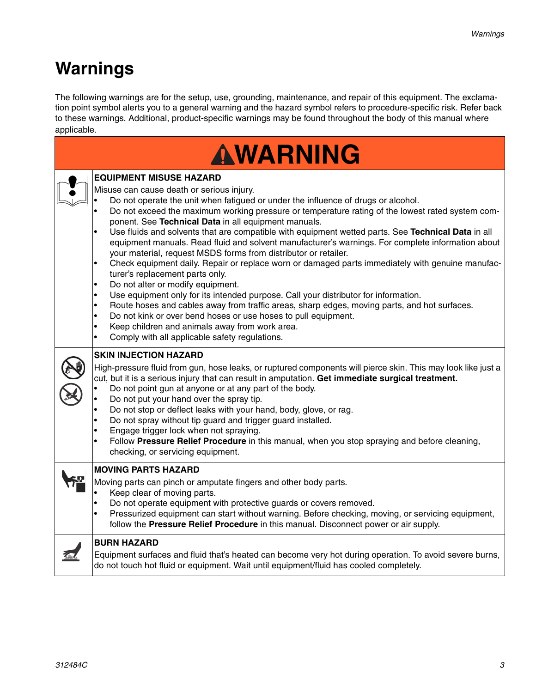# <span id="page-2-0"></span>**Warnings**

The following warnings are for the setup, use, grounding, maintenance, and repair of this equipment. The exclamation point symbol alerts you to a general warning and the hazard symbol refers to procedure-specific risk. Refer back to these warnings. Additional, product-specific warnings may be found throughout the body of this manual where applicable.

| AWARNING |                                                                                                                                                                                                                                                                                                                                                                                                                                                                                                                                                                                                                                                                                                                                                                                                                                                                                                                                                                                                                                                                                                                                                                                                                      |  |
|----------|----------------------------------------------------------------------------------------------------------------------------------------------------------------------------------------------------------------------------------------------------------------------------------------------------------------------------------------------------------------------------------------------------------------------------------------------------------------------------------------------------------------------------------------------------------------------------------------------------------------------------------------------------------------------------------------------------------------------------------------------------------------------------------------------------------------------------------------------------------------------------------------------------------------------------------------------------------------------------------------------------------------------------------------------------------------------------------------------------------------------------------------------------------------------------------------------------------------------|--|
|          | <b>EQUIPMENT MISUSE HAZARD</b><br>Misuse can cause death or serious injury.<br>Do not operate the unit when fatigued or under the influence of drugs or alcohol.<br>Do not exceed the maximum working pressure or temperature rating of the lowest rated system com-<br>ponent. See Technical Data in all equipment manuals.<br>Use fluids and solvents that are compatible with equipment wetted parts. See Technical Data in all<br>equipment manuals. Read fluid and solvent manufacturer's warnings. For complete information about<br>your material, request MSDS forms from distributor or retailer.<br>Check equipment daily. Repair or replace worn or damaged parts immediately with genuine manufac-<br>$\bullet$<br>turer's replacement parts only.<br>Do not alter or modify equipment.<br>$\bullet$<br>Use equipment only for its intended purpose. Call your distributor for information.<br>Route hoses and cables away from traffic areas, sharp edges, moving parts, and hot surfaces.<br>Do not kink or over bend hoses or use hoses to pull equipment.<br>$\bullet$<br>Keep children and animals away from work area.<br>$\bullet$<br>Comply with all applicable safety regulations.<br>$\bullet$ |  |
|          | <b>SKIN INJECTION HAZARD</b><br>High-pressure fluid from gun, hose leaks, or ruptured components will pierce skin. This may look like just a<br>cut, but it is a serious injury that can result in amputation. Get immediate surgical treatment.<br>Do not point gun at anyone or at any part of the body.<br>Do not put your hand over the spray tip.<br>Do not stop or deflect leaks with your hand, body, glove, or rag.<br>Do not spray without tip guard and trigger guard installed.<br>Engage trigger lock when not spraying.<br>٠<br>Follow Pressure Relief Procedure in this manual, when you stop spraying and before cleaning,<br>checking, or servicing equipment.                                                                                                                                                                                                                                                                                                                                                                                                                                                                                                                                       |  |
|          | <b>MOVING PARTS HAZARD</b><br>Moving parts can pinch or amputate fingers and other body parts.<br>Keep clear of moving parts.<br>Do not operate equipment with protective guards or covers removed.<br>$\bullet$<br>Pressurized equipment can start without warning. Before checking, moving, or servicing equipment,<br>follow the Pressure Relief Procedure in this manual. Disconnect power or air supply.                                                                                                                                                                                                                                                                                                                                                                                                                                                                                                                                                                                                                                                                                                                                                                                                        |  |
|          | <b>BURN HAZARD</b><br>Equipment surfaces and fluid that's heated can become very hot during operation. To avoid severe burns,<br>do not touch hot fluid or equipment. Wait until equipment/fluid has cooled completely.                                                                                                                                                                                                                                                                                                                                                                                                                                                                                                                                                                                                                                                                                                                                                                                                                                                                                                                                                                                              |  |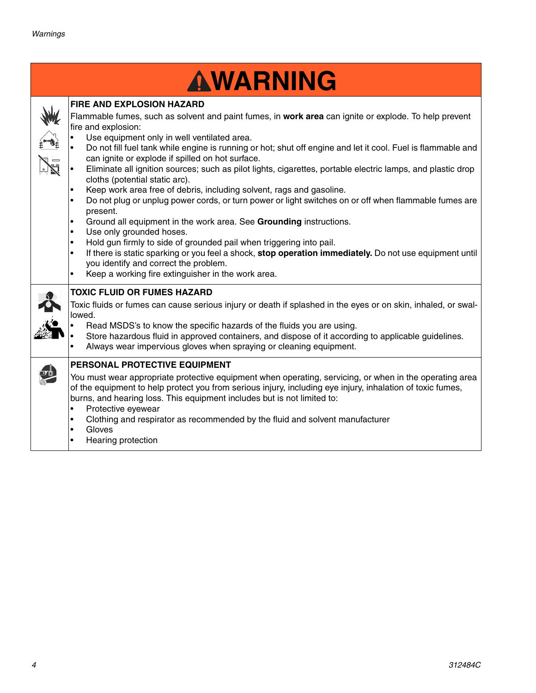| AWARNING                                                                                                                                                                                                                                                                                                                                                                                                                                                                                                                                                                                                                                                                                                                                                                                                                                                                                                                                                                                                                                                                                                             |
|----------------------------------------------------------------------------------------------------------------------------------------------------------------------------------------------------------------------------------------------------------------------------------------------------------------------------------------------------------------------------------------------------------------------------------------------------------------------------------------------------------------------------------------------------------------------------------------------------------------------------------------------------------------------------------------------------------------------------------------------------------------------------------------------------------------------------------------------------------------------------------------------------------------------------------------------------------------------------------------------------------------------------------------------------------------------------------------------------------------------|
| <b>FIRE AND EXPLOSION HAZARD</b><br>Flammable fumes, such as solvent and paint fumes, in work area can ignite or explode. To help prevent<br>fire and explosion:<br>Use equipment only in well ventilated area.<br>Do not fill fuel tank while engine is running or hot; shut off engine and let it cool. Fuel is flammable and<br>can ignite or explode if spilled on hot surface.<br>Eliminate all ignition sources; such as pilot lights, cigarettes, portable electric lamps, and plastic drop<br>cloths (potential static arc).<br>Keep work area free of debris, including solvent, rags and gasoline.<br>Do not plug or unplug power cords, or turn power or light switches on or off when flammable fumes are<br>present.<br>Ground all equipment in the work area. See Grounding instructions.<br>Use only grounded hoses.<br>Hold gun firmly to side of grounded pail when triggering into pail.<br>If there is static sparking or you feel a shock, stop operation immediately. Do not use equipment until<br>you identify and correct the problem.<br>Keep a working fire extinguisher in the work area. |
| <b>TOXIC FLUID OR FUMES HAZARD</b><br>Toxic fluids or fumes can cause serious injury or death if splashed in the eyes or on skin, inhaled, or swal-<br>lowed.<br>Read MSDS's to know the specific hazards of the fluids you are using.<br>Store hazardous fluid in approved containers, and dispose of it according to applicable guidelines.<br>Always wear impervious gloves when spraying or cleaning equipment.                                                                                                                                                                                                                                                                                                                                                                                                                                                                                                                                                                                                                                                                                                  |
| PERSONAL PROTECTIVE EQUIPMENT<br>You must wear appropriate protective equipment when operating, servicing, or when in the operating area<br>of the equipment to help protect you from serious injury, including eye injury, inhalation of toxic fumes,<br>burns, and hearing loss. This equipment includes but is not limited to:<br>Protective eyewear<br>$\bullet$<br>Clothing and respirator as recommended by the fluid and solvent manufacturer<br>$\bullet$<br>Gloves<br>$\bullet$<br>Hearing protection                                                                                                                                                                                                                                                                                                                                                                                                                                                                                                                                                                                                       |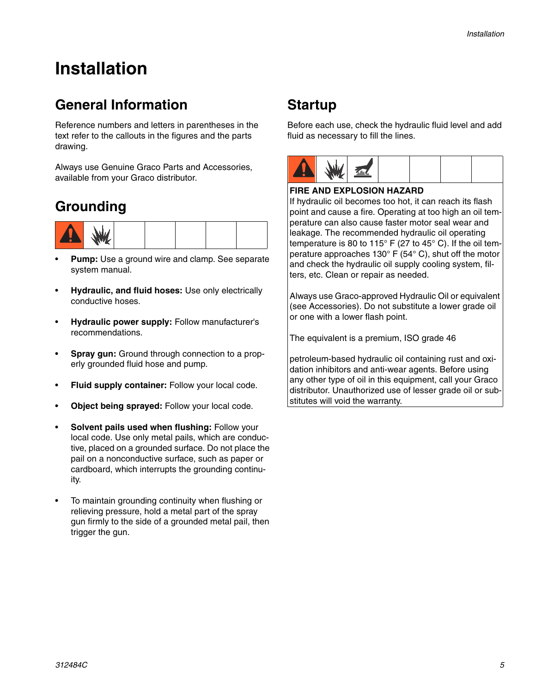# <span id="page-4-0"></span>**Installation**

### <span id="page-4-1"></span>**General Information**

Reference numbers and letters in parentheses in the text refer to the callouts in the figures and the parts drawing.

Always use Genuine Graco Parts and Accessories, available from your Graco distributor.

### <span id="page-4-2"></span>**Grounding**



- Pump: Use a ground wire and clamp. See separate system manual.
- **Hydraulic, and fluid hoses:** Use only electrically conductive hoses.
- **Hydraulic power supply:** Follow manufacturer's recommendations.
- **Spray gun:** Ground through connection to a properly grounded fluid hose and pump.
- **Fluid supply container:** Follow your local code.
- **Object being sprayed:** Follow your local code.
- **Solvent pails used when flushing:** Follow your local code. Use only metal pails, which are conductive, placed on a grounded surface. Do not place the pail on a nonconductive surface, such as paper or cardboard, which interrupts the grounding continuity.
- To maintain grounding continuity when flushing or relieving pressure, hold a metal part of the spray gun firmly to the side of a grounded metal pail, then trigger the gun.

### <span id="page-4-3"></span>**Startup**

Before each use, check the hydraulic fluid level and add fluid as necessary to fill the lines.



#### **FIRE AND EXPLOSION HAZARD**

If hydraulic oil becomes too hot, it can reach its flash point and cause a fire. Operating at too high an oil temperature can also cause faster motor seal wear and leakage. The recommended hydraulic oil operating temperature is 80 to 115° F (27 to 45° C). If the oil temperature approaches 130° F (54° C), shut off the motor and check the hydraulic oil supply cooling system, filters, etc. Clean or repair as needed.

Always use Graco-approved Hydraulic Oil or equivalent (see Accessories). Do not substitute a lower grade oil or one with a lower flash point.

The equivalent is a premium, ISO grade 46

petroleum-based hydraulic oil containing rust and oxidation inhibitors and anti-wear agents. Before using any other type of oil in this equipment, call your Graco distributor. Unauthorized use of lesser grade oil or substitutes will void the warranty.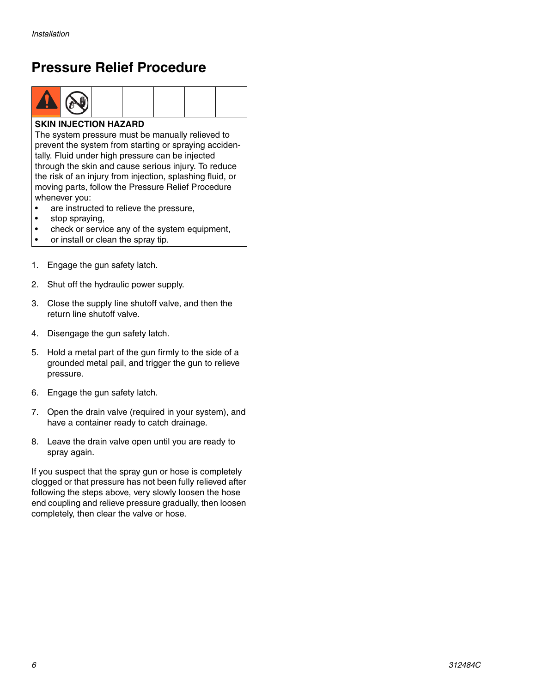### <span id="page-5-0"></span>**Pressure Relief Procedure**



#### **SKIN INJECTION HAZARD**

The system pressure must be manually relieved to prevent the system from starting or spraying accidentally. Fluid under high pressure can be injected through the skin and cause serious injury. To reduce the risk of an injury from injection, splashing fluid, or moving parts, follow the Pressure Relief Procedure whenever you:

- are instructed to relieve the pressure,
- stop spraying,
- check or service any of the system equipment,
- or install or clean the spray tip.
- 1. Engage the gun safety latch.
- 2. Shut off the hydraulic power supply.
- 3. Close the supply line shutoff valve, and then the return line shutoff valve.
- 4. Disengage the gun safety latch.
- 5. Hold a metal part of the gun firmly to the side of a grounded metal pail, and trigger the gun to relieve pressure.
- 6. Engage the gun safety latch.
- 7. Open the drain valve (required in your system), and have a container ready to catch drainage.
- 8. Leave the drain valve open until you are ready to spray again.

If you suspect that the spray gun or hose is completely clogged or that pressure has not been fully relieved after following the steps above, very slowly loosen the hose end coupling and relieve pressure gradually, then loosen completely, then clear the valve or hose.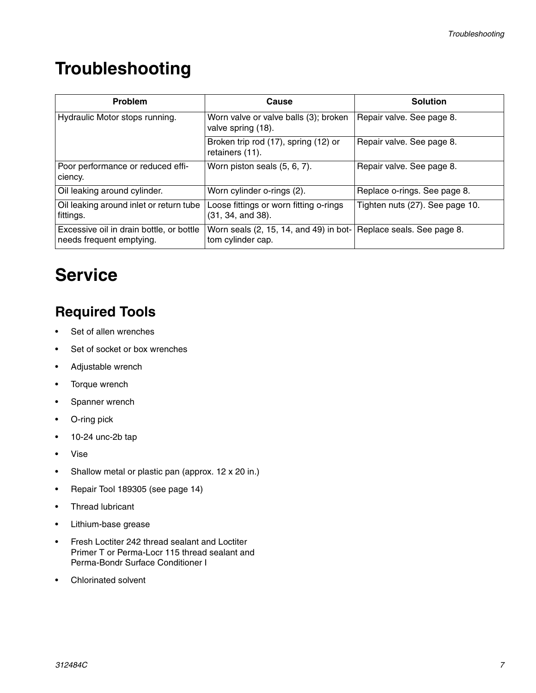# <span id="page-6-0"></span>**Troubleshooting**

| Problem                                                              | Cause                                                                                  | <b>Solution</b>                 |
|----------------------------------------------------------------------|----------------------------------------------------------------------------------------|---------------------------------|
| Hydraulic Motor stops running.                                       | Worn valve or valve balls (3); broken<br>valve spring (18).                            | Repair valve. See page 8.       |
|                                                                      | Broken trip rod (17), spring (12) or<br>retainers (11).                                | Repair valve. See page 8.       |
| Poor performance or reduced effi-<br>ciency.                         | Worn piston seals (5, 6, 7).                                                           | Repair valve. See page 8.       |
| Oil leaking around cylinder.                                         | Worn cylinder o-rings (2).                                                             | Replace o-rings. See page 8.    |
| Oil leaking around inlet or return tube<br>fittings.                 | Loose fittings or worn fitting o-rings<br>(31, 34, and 38).                            | Tighten nuts (27). See page 10. |
| Excessive oil in drain bottle, or bottle<br>needs frequent emptying. | Worn seals (2, 15, 14, and 49) in bot- Replace seals. See page 8.<br>tom cylinder cap. |                                 |

# <span id="page-6-1"></span>**Service**

### <span id="page-6-2"></span>**Required Tools**

- Set of allen wrenches
- Set of socket or box wrenches
- Adjustable wrench
- Torque wrench
- Spanner wrench
- O-ring pick
- 10-24 unc-2b tap
- Vise
- Shallow metal or plastic pan (approx. 12 x 20 in.)
- Repair Tool 189305 (see page 14)
- Thread lubricant
- Lithium-base grease
- Fresh Loctiter 242 thread sealant and Loctiter Primer T or Perma-Locr 115 thread sealant and Perma-Bondr Surface Conditioner I
- Chlorinated solvent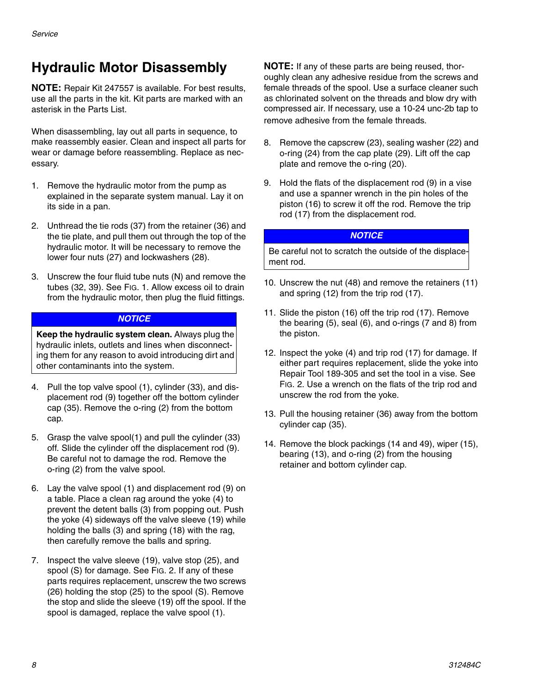### <span id="page-7-0"></span>**Hydraulic Motor Disassembly**

**NOTE:** Repair Kit 247557 is available. For best results, use all the parts in the kit. Kit parts are marked with an asterisk in the Parts List.

When disassembling, lay out all parts in sequence, to make reassembly easier. Clean and inspect all parts for wear or damage before reassembling. Replace as necessary.

- 1. Remove the hydraulic motor from the pump as explained in the separate system manual. Lay it on its side in a pan.
- 2. Unthread the tie rods (37) from the retainer (36) and the tie plate, and pull them out through the top of the hydraulic motor. It will be necessary to remove the lower four nuts (27) and lockwashers (28).
- 3. Unscrew the four fluid tube nuts (N) and remove the tubes (32, 39). See [FIG. 1](#page-8-0). Allow excess oil to drain from the hydraulic motor, then plug the fluid fittings.

#### *NOTICE*

**Keep the hydraulic system clean.** Always plug the hydraulic inlets, outlets and lines when disconnecting them for any reason to avoid introducing dirt and other contaminants into the system.

- 4. Pull the top valve spool (1), cylinder (33), and displacement rod (9) together off the bottom cylinder cap (35). Remove the o-ring (2) from the bottom cap.
- 5. Grasp the valve spool(1) and pull the cylinder (33) off. Slide the cylinder off the displacement rod (9). Be careful not to damage the rod. Remove the o-ring (2) from the valve spool.
- 6. Lay the valve spool (1) and displacement rod (9) on a table. Place a clean rag around the yoke (4) to prevent the detent balls (3) from popping out. Push the yoke (4) sideways off the valve sleeve (19) while holding the balls (3) and spring (18) with the rag, then carefully remove the balls and spring.
- 7. Inspect the valve sleeve (19), valve stop (25), and spool (S) for damage. See [FIG. 2.](#page-10-0) If any of these parts requires replacement, unscrew the two screws (26) holding the stop (25) to the spool (S). Remove the stop and slide the sleeve (19) off the spool. If the spool is damaged, replace the valve spool (1).

**NOTE:** If any of these parts are being reused, thoroughly clean any adhesive residue from the screws and female threads of the spool. Use a surface cleaner such as chlorinated solvent on the threads and blow dry with compressed air. If necessary, use a 10-24 unc-2b tap to remove adhesive from the female threads.

- 8. Remove the capscrew (23), sealing washer (22) and o-ring (24) from the cap plate (29). Lift off the cap plate and remove the o-ring (20).
- 9. Hold the flats of the displacement rod (9) in a vise and use a spanner wrench in the pin holes of the piston (16) to screw it off the rod. Remove the trip rod (17) from the displacement rod.

#### *NOTICE*

Be careful not to scratch the outside of the displacement rod.

- 10. Unscrew the nut (48) and remove the retainers (11) and spring (12) from the trip rod (17).
- 11. Slide the piston (16) off the trip rod (17). Remove the bearing (5), seal (6), and o-rings (7 and 8) from the piston.
- 12. Inspect the yoke (4) and trip rod (17) for damage. If either part requires replacement, slide the yoke into Repair Tool 189-305 and set the tool in a vise. See [FIG. 2](#page-10-0). Use a wrench on the flats of the trip rod and unscrew the rod from the yoke.
- 13. Pull the housing retainer (36) away from the bottom cylinder cap (35).
- 14. Remove the block packings (14 and 49), wiper (15), bearing (13), and o-ring (2) from the housing retainer and bottom cylinder cap.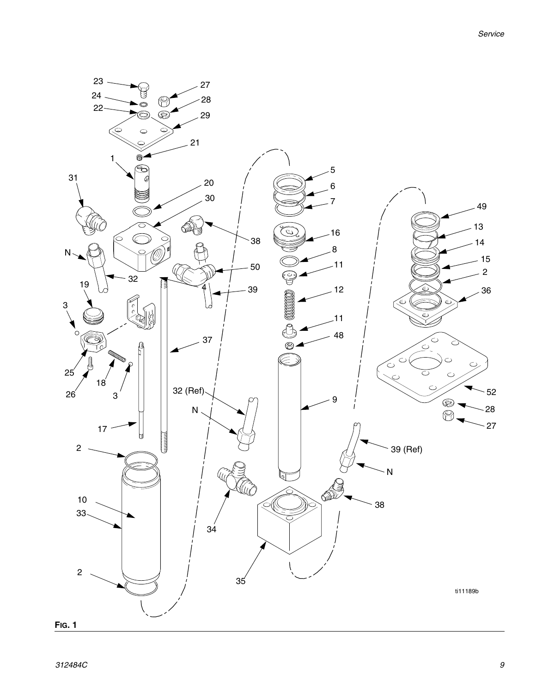<span id="page-8-0"></span>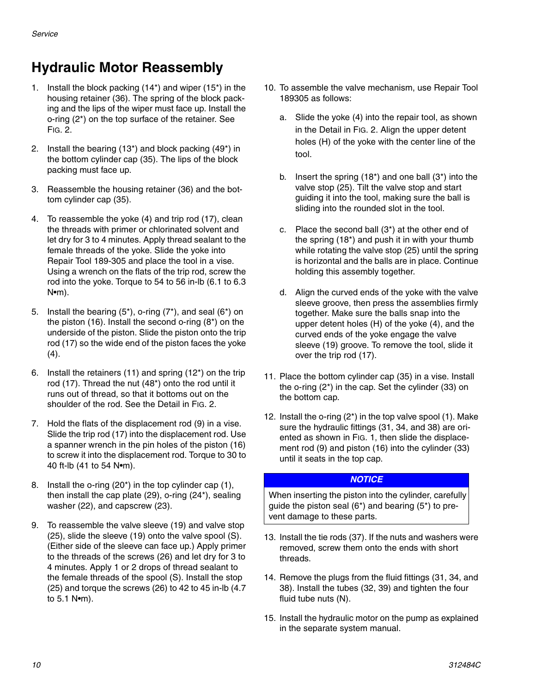### <span id="page-9-0"></span>**Hydraulic Motor Reassembly**

- 1. Install the block packing (14\*) and wiper (15\*) in the housing retainer (36). The spring of the block packing and the lips of the wiper must face up. Install the o-ring (2\*) on the top surface of the retainer. See [FIG. 2.](#page-10-0)
- 2. Install the bearing (13\*) and block packing (49\*) in the bottom cylinder cap (35). The lips of the block packing must face up.
- 3. Reassemble the housing retainer (36) and the bottom cylinder cap (35).
- 4. To reassemble the yoke (4) and trip rod (17), clean the threads with primer or chlorinated solvent and let dry for 3 to 4 minutes. Apply thread sealant to the female threads of the yoke. Slide the yoke into Repair Tool 189-305 and place the tool in a vise. Using a wrench on the flats of the trip rod, screw the rod into the yoke. Torque to 54 to 56 in-lb (6.1 to 6.3 N•m).
- 5. Install the bearing  $(5^*)$ , o-ring  $(7^*)$ , and seal  $(6^*)$  on the piston (16). Install the second o-ring (8\*) on the underside of the piston. Slide the piston onto the trip rod (17) so the wide end of the piston faces the yoke  $(4).$
- 6. Install the retainers (11) and spring (12\*) on the trip rod (17). Thread the nut (48\*) onto the rod until it runs out of thread, so that it bottoms out on the shoulder of the rod. See the Detail in [FIG. 2.](#page-10-0)
- 7. Hold the flats of the displacement rod (9) in a vise. Slide the trip rod (17) into the displacement rod. Use a spanner wrench in the pin holes of the piston (16) to screw it into the displacement rod. Torque to 30 to 40 ft-lb (41 to 54 N•m).
- 8. Install the o-ring (20\*) in the top cylinder cap (1), then install the cap plate (29), o-ring (24\*), sealing washer (22), and capscrew (23).
- 9. To reassemble the valve sleeve (19) and valve stop (25), slide the sleeve (19) onto the valve spool (S). (Either side of the sleeve can face up.) Apply primer to the threads of the screws (26) and let dry for 3 to 4 minutes. Apply 1 or 2 drops of thread sealant to the female threads of the spool (S). Install the stop (25) and torque the screws (26) to 42 to 45 in-lb (4.7 to 5.1 N•m).
- 10. To assemble the valve mechanism, use Repair Tool 189305 as follows:
	- a. Slide the yoke (4) into the repair tool, as shown in the Detail in [FIG. 2](#page-10-0). Align the upper detent holes (H) of the yoke with the center line of the tool.
	- b. Insert the spring (18\*) and one ball (3\*) into the valve stop (25). Tilt the valve stop and start guiding it into the tool, making sure the ball is sliding into the rounded slot in the tool.
	- c. Place the second ball (3\*) at the other end of the spring (18\*) and push it in with your thumb while rotating the valve stop (25) until the spring is horizontal and the balls are in place. Continue holding this assembly together.
	- d. Align the curved ends of the yoke with the valve sleeve groove, then press the assemblies firmly together. Make sure the balls snap into the upper detent holes (H) of the yoke (4), and the curved ends of the yoke engage the valve sleeve (19) groove. To remove the tool, slide it over the trip rod (17).
- 11. Place the bottom cylinder cap (35) in a vise. Install the o-ring (2\*) in the cap. Set the cylinder (33) on the bottom cap.
- 12. Install the o-ring (2\*) in the top valve spool (1). Make sure the hydraulic fittings (31, 34, and 38) are oriented as shown in [FIG. 1](#page-8-0), then slide the displacement rod (9) and piston (16) into the cylinder (33) until it seats in the top cap.

#### *NOTICE*

When inserting the piston into the cylinder, carefully guide the piston seal (6\*) and bearing (5\*) to prevent damage to these parts.

- 13. Install the tie rods (37). If the nuts and washers were removed, screw them onto the ends with short threads.
- 14. Remove the plugs from the fluid fittings (31, 34, and 38). Install the tubes (32, 39) and tighten the four fluid tube nuts (N).
- 15. Install the hydraulic motor on the pump as explained in the separate system manual.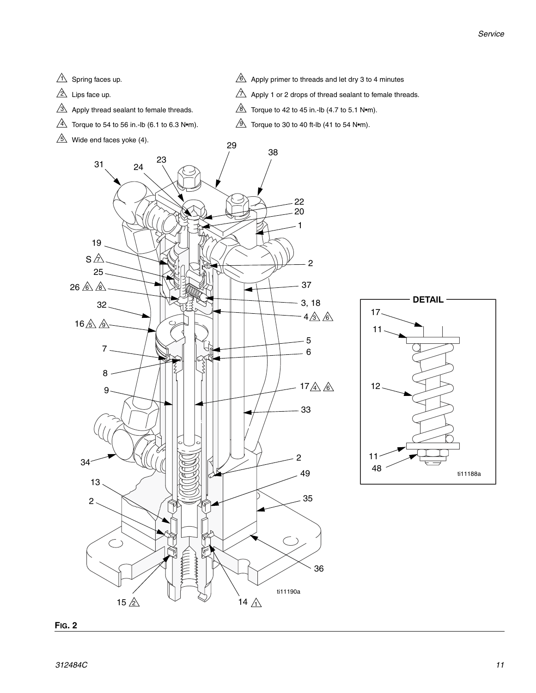- $1\sqrt{ }$  Spring faces up.
- Lips face up.
- Apply thread sealant to female threads.
- $\stackrel{\text{{\small 4}}}{\sim}$  Torque to 54 to 56 in.-Ib (6.1 to 6.3 N•m).
- $\mathbb{S}\$  Wide end faces yoke (4).
- $6\text{N}$  Apply primer to threads and let dry 3 to 4 minutes
- $\Delta$  Apply 1 or 2 drops of thread sealant to female threads.
- $8\overline{\!\!\!\!\!\!\setminus}$  Torque to 42 to 45 in.-Ib (4.7 to 5.1 N•m).
- $\mathfrak{D}$  Torque to 30 to 40 ft-lb (41 to 54 N•m).



<span id="page-10-0"></span>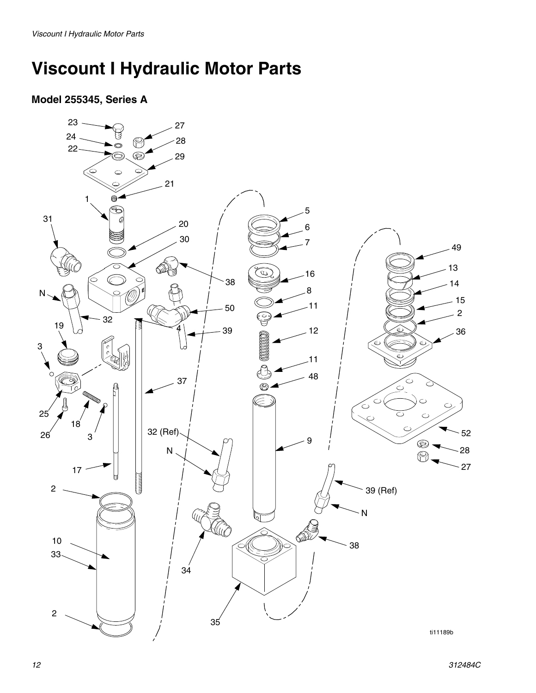# <span id="page-11-0"></span>**Viscount I Hydraulic Motor Parts**

#### **Model 255345, Series A**

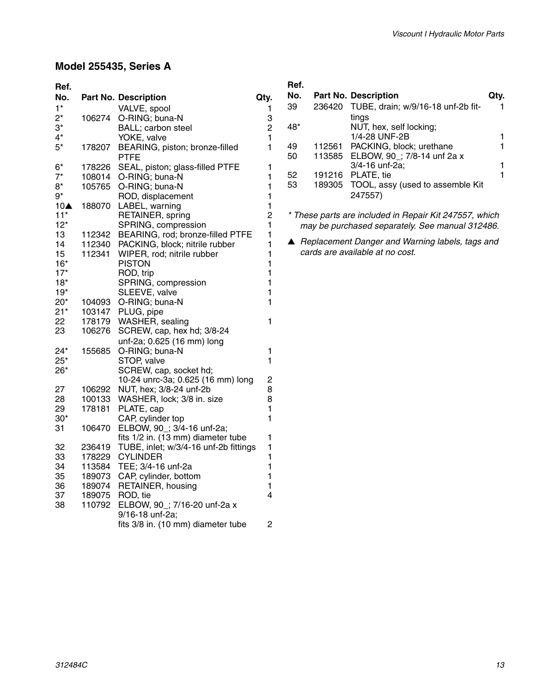#### **Model 255435, Series A**

| Ref.  |        |                                        |                |
|-------|--------|----------------------------------------|----------------|
| No.   |        | <b>Part No. Description</b>            | Qty.           |
| $1*$  |        | VALVE, spool                           | 1              |
| $2^*$ | 106274 | O-RING; buna-N                         | 3              |
| $3^*$ |        | BALL; carbon steel                     | $\overline{c}$ |
| $4^*$ |        | YOKE, valve                            | $\mathbf{1}$   |
| $5*$  | 178207 | BEARING, piston; bronze-filled<br>PTFE | 1              |
| 6*    | 178226 | SEAL, piston; glass-filled PTFE        | 1              |
| $7^*$ | 108014 | O-RING; buna-N                         | 1              |
| 8*    | 105765 | O-RING; buna-N                         | $\mathbf{1}$   |
| 9*    |        | ROD, displacement                      | $\mathbf{1}$   |
| 10▲   | 188070 | LABEL, warning                         | $\mathbf{1}$   |
| $11*$ |        | RETAINER, spring                       | $\overline{c}$ |
| $12*$ |        | SPRING, compression                    | 1              |
| 13    | 112342 | BEARING, rod; bronze-filled PTFE       | $\mathbf{1}$   |
| 14    | 112340 | PACKING, block; nitrile rubber         | $\mathbf{1}$   |
| 15    | 112341 | WIPER, rod; nitrile rubber             | $\mathbf{1}$   |
| 16*   |        | <b>PISTON</b>                          | $\mathbf{1}$   |
| $17*$ |        | ROD, trip                              | 1              |
| 18*   |        | SPRING, compression                    | 1              |
| 19*   |        | SLEEVE, valve                          | $\mathbf{1}$   |
| 20*   | 104093 | O-RING; buna-N                         | 1              |
| 21*   | 103147 | PLUG, pipe                             |                |
| 22    | 178179 | WASHER, sealing                        | 1              |
| 23    | 106276 | SCREW, cap, hex hd; 3/8-24             |                |
|       |        | unf-2a; 0.625 (16 mm) long             |                |
| $24*$ | 155685 | O-RING; buna-N                         | 1              |
| 25*   |        | STOP, valve                            | 1              |
| 26*   |        | SCREW, cap, socket hd;                 |                |
|       |        | 10-24 unrc-3a; 0.625 (16 mm) long      | $\overline{c}$ |
| 27    | 106292 | NUT, hex; 3/8-24 unf-2b                | 8              |
| 28    | 100133 | WASHER, lock; 3/8 in. size             | 8              |
| 29    | 178181 | PLATE, cap                             | 1              |
| $30*$ |        | CAP, cylinder top                      | $\mathbf{1}$   |
| 31    | 106470 | ELBOW, 90_; 3/4-16 unf-2a;             |                |
|       |        | fits 1/2 in. (13 mm) diameter tube     | 1              |
| 32    | 236419 | TUBE, inlet; w/3/4-16 unf-2b fittings  | 1              |
| 33    | 178229 | <b>CYLINDER</b>                        | $\mathbf{1}$   |
| 34    | 113584 | TEE; 3/4-16 unf-2a                     | $\mathbf{1}$   |
| 35    | 189073 | CAP, cylinder, bottom                  | 1              |
| 36    | 189074 | RETAINER, housing                      | 1              |
| 37    | 189075 | ROD, tie                               | 4              |
| 38    | 110792 | ELBOW, 90_; 7/16-20 unf-2a x           |                |
|       |        | 9/16-18 unf-2a;                        |                |
|       |        | fits 3/8 in. (10 mm) diameter tube     | 2              |

| Ref.<br>No. |        | <b>Part No. Description</b>                        |  |
|-------------|--------|----------------------------------------------------|--|
| 39          | 236420 | TUBE, drain; w/9/16-18 unf-2b fit-<br>tings        |  |
| 48*         |        | NUT, hex, self locking;<br>1/4-28 UNF-2B           |  |
| 49          |        | 112561 PACKING, block; urethane                    |  |
| 50          |        | 113585 ELBOW, 90; 7/8-14 unf 2a x                  |  |
|             |        | 3/4-16 unf-2a;                                     |  |
| 52          |        | 191216 PLATE, tie                                  |  |
| 53          |        | 189305 TOOL, assy (used to assemble Kit<br>247557) |  |

*\* These parts are included in Repair Kit 247557, which may be purchased separately. See manual 312486.*

▲ *Replacement Danger and Warning labels, tags and cards are available at no cost.*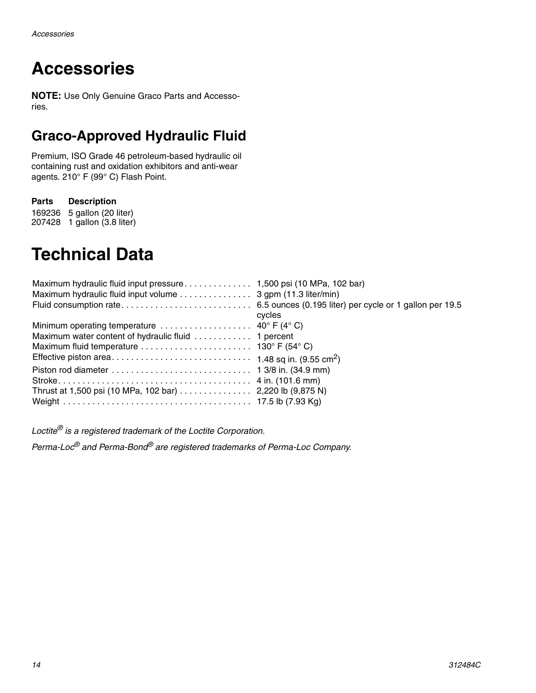# **Accessories**

**NOTE:** Use Only Genuine Graco Parts and Accessories.

### <span id="page-13-0"></span>**Graco-Approved Hydraulic Fluid**

Premium, ISO Grade 46 petroleum-based hydraulic oil containing rust and oxidation exhibitors and anti-wear agents. 210° F (99° C) Flash Point.

**Parts Description**

169236 5 gallon (20 liter) 207428 1 gallon (3.8 liter)

# <span id="page-13-1"></span>**Technical Data**

| Maximum hydraulic fluid input volume 3 gpm (11.3 liter/min)                      |        |
|----------------------------------------------------------------------------------|--------|
|                                                                                  |        |
|                                                                                  | cycles |
| Minimum operating temperature $\dots \dots \dots \dots \dots \dots$ 40° F (4° C) |        |
|                                                                                  |        |
|                                                                                  |        |
|                                                                                  |        |
|                                                                                  |        |
|                                                                                  |        |
|                                                                                  |        |
|                                                                                  |        |

*Loctite® is a registered trademark of the Loctite Corporation.*

*Perma-Loc® and Perma-Bond® are registered trademarks of Perma-Loc Company.*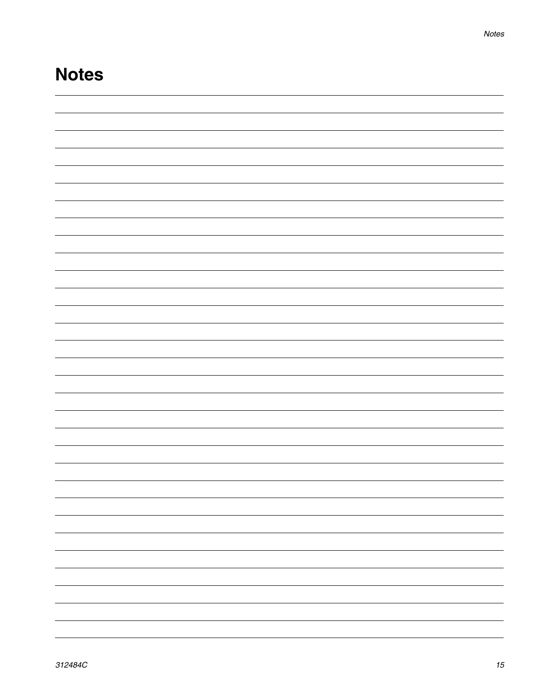### **Notes**